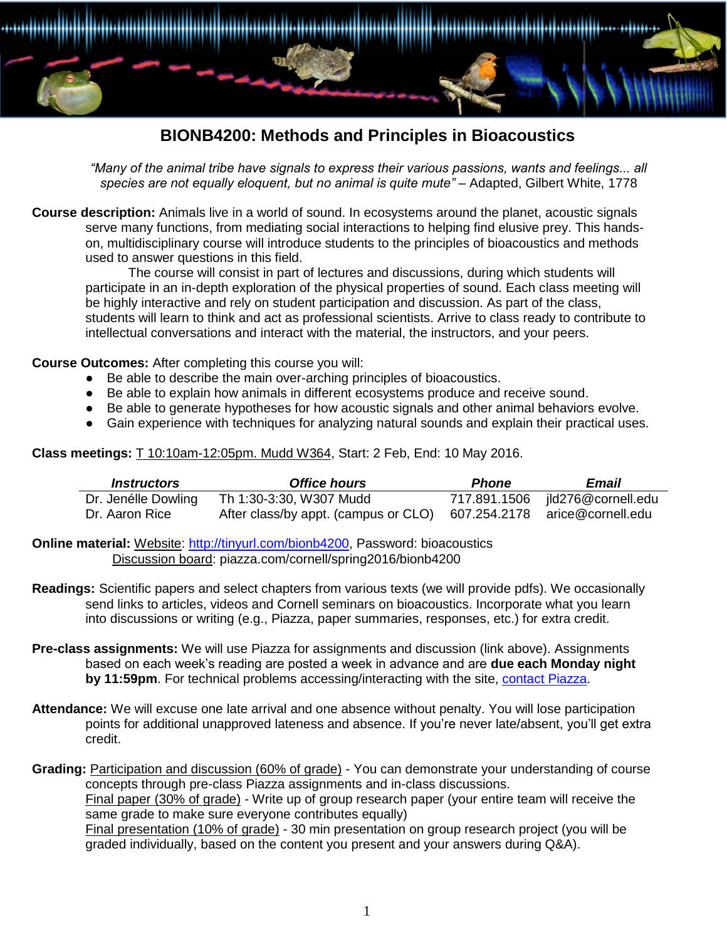

## **BIONB4200: Methods and Principles in Bioacoustics**

*"Many of the animal tribe have signals to express their various passions, wants and feelings... all*  species are not equally eloquent, but no animal is quite mute" - Adapted, Gilbert White, 1778

**Course description:** Animals live in a world of sound. In ecosystems around the planet, acoustic signals serve many functions, from mediating social interactions to helping find elusive prey. This handson, multidisciplinary course will introduce students to the principles of bioacoustics and methods used to answer questions in this field.

The course will consist in part of lectures and discussions, during which students will participate in an in-depth exploration of the physical properties of sound. Each class meeting will be highly interactive and rely on student participation and discussion. As part of the class, students will learn to think and act as professional scientists. Arrive to class ready to contribute to intellectual conversations and interact with the material, the instructors, and your peers.

**Course Outcomes:** After completing this course you will:

- Be able to describe the main over-arching principles of bioacoustics.
- Be able to explain how animals in different ecosystems produce and receive sound.
- Be able to generate hypotheses for how acoustic signals and other animal behaviors evolve.
- Gain experience with techniques for analyzing natural sounds and explain their practical uses.

**Class meetings:** T 10:10am-12:05pm. Mudd W364, Start: 2 Feb, End: 10 May 2016.

| <i><b>Instructors</b></i> | <b>Office hours</b>                                                 | <b>Phone</b> | Email                           |
|---------------------------|---------------------------------------------------------------------|--------------|---------------------------------|
| Dr. Jenélle Dowling       | Th 1:30-3:30, W307 Mudd                                             |              | 717.891.1506 jld276@cornell.edu |
| Dr. Aaron Rice            | After class/by appt. (campus or CLO) 607.254.2178 arice@cornell.edu |              |                                 |

**Online material:** Website: [http://tinyurl.com/bionb4200,](http://www.jenelledowling.com/#!bionb4200bioacoustics/yo8po) Password: bioacoustics Discussion board: piazza.com/cornell/spring2016/bionb4200

- **Readings:** Scientific papers and select chapters from various texts (we will provide pdfs). We occasionally send links to articles, videos and Cornell seminars on bioacoustics. Incorporate what you learn into discussions or writing (e.g., Piazza, paper summaries, responses, etc.) for extra credit.
- **Pre-class assignments:** We will use Piazza for assignments and discussion (link above). Assignments based on each week's reading are posted a week in advance and are **due each Monday night by 11:59pm**. For technical problems accessing/interacting with the site, [contact](mailto:team@piazza.com) Piazza.
- **Attendance:** We will excuse one late arrival and one absence without penalty. You will lose participation points for additional unapproved lateness and absence. If you're never late/absent, you'll get extra credit.

Grading: Participation and discussion (60% of grade) - You can demonstrate your understanding of course concepts through pre-class Piazza assignments and in-class discussions. Final paper (30% of grade) - Write up of group research paper (your entire team will receive the same grade to make sure everyone contributes equally) Final presentation (10% of grade) - 30 min presentation on group research project (you will be graded individually, based on the content you present and your answers during Q&A).